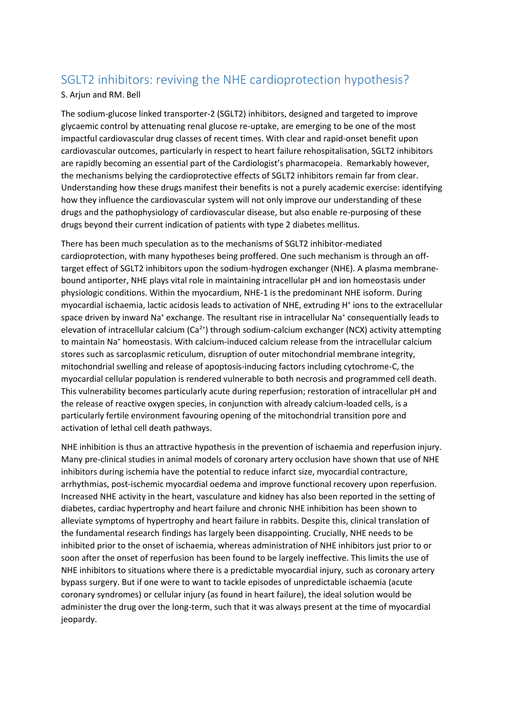## SGLT2 inhibitors: reviving the NHE cardioprotection hypothesis?

## S. Arjun and RM. Bell

The sodium-glucose linked transporter-2 (SGLT2) inhibitors, designed and targeted to improve glycaemic control by attenuating renal glucose re-uptake, are emerging to be one of the most impactful cardiovascular drug classes of recent times. With clear and rapid-onset benefit upon cardiovascular outcomes, particularly in respect to heart failure rehospitalisation, SGLT2 inhibitors are rapidly becoming an essential part of the Cardiologist's pharmacopeia. Remarkably however, the mechanisms belying the cardioprotective effects of SGLT2 inhibitors remain far from clear. Understanding how these drugs manifest their benefits is not a purely academic exercise: identifying how they influence the cardiovascular system will not only improve our understanding of these drugs and the pathophysiology of cardiovascular disease, but also enable re-purposing of these drugs beyond their current indication of patients with type 2 diabetes mellitus.

There has been much speculation as to the mechanisms of SGLT2 inhibitor-mediated cardioprotection, with many hypotheses being proffered. One such mechanism is through an offtarget effect of SGLT2 inhibitors upon the sodium-hydrogen exchanger (NHE). A plasma membranebound antiporter, NHE plays vital role in maintaining intracellular pH and ion homeostasis under physiologic conditions. Within the myocardium, NHE-1 is the predominant NHE isoform. During myocardial ischaemia, lactic acidosis leads to activation of NHE, extruding H<sup>+</sup> ions to the extracellular space driven by inward Na<sup>+</sup> exchange. The resultant rise in intracellular Na<sup>+</sup> consequentially leads to elevation of intracellular calcium  $(Ca^{2+})$  through sodium-calcium exchanger (NCX) activity attempting to maintain Na<sup>+</sup> homeostasis. With calcium-induced calcium release from the intracellular calcium stores such as sarcoplasmic reticulum, disruption of outer mitochondrial membrane integrity, mitochondrial swelling and release of apoptosis-inducing factors including cytochrome-C, the myocardial cellular population is rendered vulnerable to both necrosis and programmed cell death. This vulnerability becomes particularly acute during reperfusion; restoration of intracellular pH and the release of reactive oxygen species, in conjunction with already calcium-loaded cells, is a particularly fertile environment favouring opening of the mitochondrial transition pore and activation of lethal cell death pathways.

NHE inhibition is thus an attractive hypothesis in the prevention of ischaemia and reperfusion injury. Many pre-clinical studies in animal models of coronary artery occlusion have shown that use of NHE inhibitors during ischemia have the potential to reduce infarct size, myocardial contracture, arrhythmias, post-ischemic myocardial oedema and improve functional recovery upon reperfusion. Increased NHE activity in the heart, vasculature and kidney has also been reported in the setting of diabetes, cardiac hypertrophy and heart failure and chronic NHE inhibition has been shown to alleviate symptoms of hypertrophy and heart failure in rabbits. Despite this, clinical translation of the fundamental research findings has largely been disappointing. Crucially, NHE needs to be inhibited prior to the onset of ischaemia, whereas administration of NHE inhibitors just prior to or soon after the onset of reperfusion has been found to be largely ineffective. This limits the use of NHE inhibitors to situations where there is a predictable myocardial injury, such as coronary artery bypass surgery. But if one were to want to tackle episodes of unpredictable ischaemia (acute coronary syndromes) or cellular injury (as found in heart failure), the ideal solution would be administer the drug over the long-term, such that it was always present at the time of myocardial jeopardy.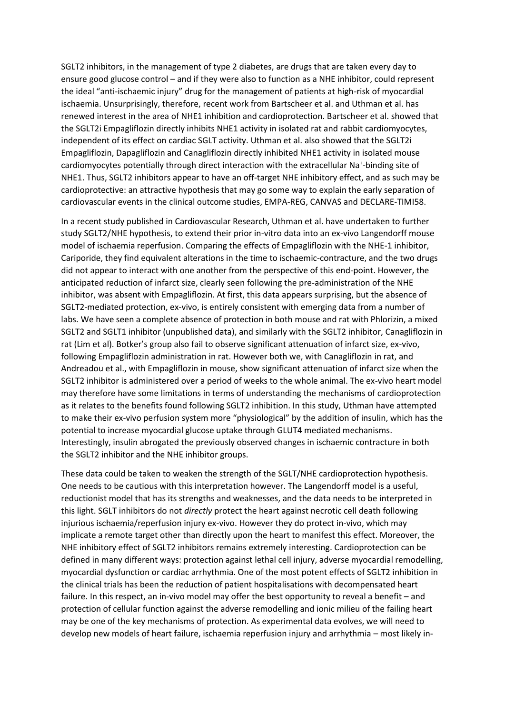SGLT2 inhibitors, in the management of type 2 diabetes, are drugs that are taken every day to ensure good glucose control – and if they were also to function as a NHE inhibitor, could represent the ideal "anti-ischaemic injury" drug for the management of patients at high-risk of myocardial ischaemia. Unsurprisingly, therefore, recent work from Bartscheer et al. and Uthman et al. has renewed interest in the area of NHE1 inhibition and cardioprotection. Bartscheer et al. showed that the SGLT2i Empagliflozin directly inhibits NHE1 activity in isolated rat and rabbit cardiomyocytes, independent of its effect on cardiac SGLT activity. Uthman et al. also showed that the SGLT2i Empagliflozin, Dapagliflozin and Canagliflozin directly inhibited NHE1 activity in isolated mouse cardiomyocytes potentially through direct interaction with the extracellular Na<sup>+</sup>-binding site of NHE1. Thus, SGLT2 inhibitors appear to have an off-target NHE inhibitory effect, and as such may be cardioprotective: an attractive hypothesis that may go some way to explain the early separation of cardiovascular events in the clinical outcome studies, EMPA-REG, CANVAS and DECLARE-TIMI58.

In a recent study published in Cardiovascular Research, Uthman et al. have undertaken to further study SGLT2/NHE hypothesis, to extend their prior in-vitro data into an ex-vivo Langendorff mouse model of ischaemia reperfusion. Comparing the effects of Empagliflozin with the NHE-1 inhibitor, Cariporide, they find equivalent alterations in the time to ischaemic-contracture, and the two drugs did not appear to interact with one another from the perspective of this end-point. However, the anticipated reduction of infarct size, clearly seen following the pre-administration of the NHE inhibitor, was absent with Empagliflozin. At first, this data appears surprising, but the absence of SGLT2-mediated protection, ex-vivo, is entirely consistent with emerging data from a number of labs. We have seen a complete absence of protection in both mouse and rat with Phlorizin, a mixed SGLT2 and SGLT1 inhibitor (unpublished data), and similarly with the SGLT2 inhibitor, Canagliflozin in rat (Lim et al). Botker's group also fail to observe significant attenuation of infarct size, ex-vivo, following Empagliflozin administration in rat. However both we, with Canagliflozin in rat, and Andreadou et al., with Empagliflozin in mouse, show significant attenuation of infarct size when the SGLT2 inhibitor is administered over a period of weeks to the whole animal. The ex-vivo heart model may therefore have some limitations in terms of understanding the mechanisms of cardioprotection as it relates to the benefits found following SGLT2 inhibition. In this study, Uthman have attempted to make their ex-vivo perfusion system more "physiological" by the addition of insulin, which has the potential to increase myocardial glucose uptake through GLUT4 mediated mechanisms. Interestingly, insulin abrogated the previously observed changes in ischaemic contracture in both the SGLT2 inhibitor and the NHE inhibitor groups.

These data could be taken to weaken the strength of the SGLT/NHE cardioprotection hypothesis. One needs to be cautious with this interpretation however. The Langendorff model is a useful, reductionist model that has its strengths and weaknesses, and the data needs to be interpreted in this light. SGLT inhibitors do not *directly* protect the heart against necrotic cell death following injurious ischaemia/reperfusion injury ex-vivo. However they do protect in-vivo, which may implicate a remote target other than directly upon the heart to manifest this effect. Moreover, the NHE inhibitory effect of SGLT2 inhibitors remains extremely interesting. Cardioprotection can be defined in many different ways: protection against lethal cell injury, adverse myocardial remodelling, myocardial dysfunction or cardiac arrhythmia. One of the most potent effects of SGLT2 inhibition in the clinical trials has been the reduction of patient hospitalisations with decompensated heart failure. In this respect, an in-vivo model may offer the best opportunity to reveal a benefit – and protection of cellular function against the adverse remodelling and ionic milieu of the failing heart may be one of the key mechanisms of protection. As experimental data evolves, we will need to develop new models of heart failure, ischaemia reperfusion injury and arrhythmia – most likely in